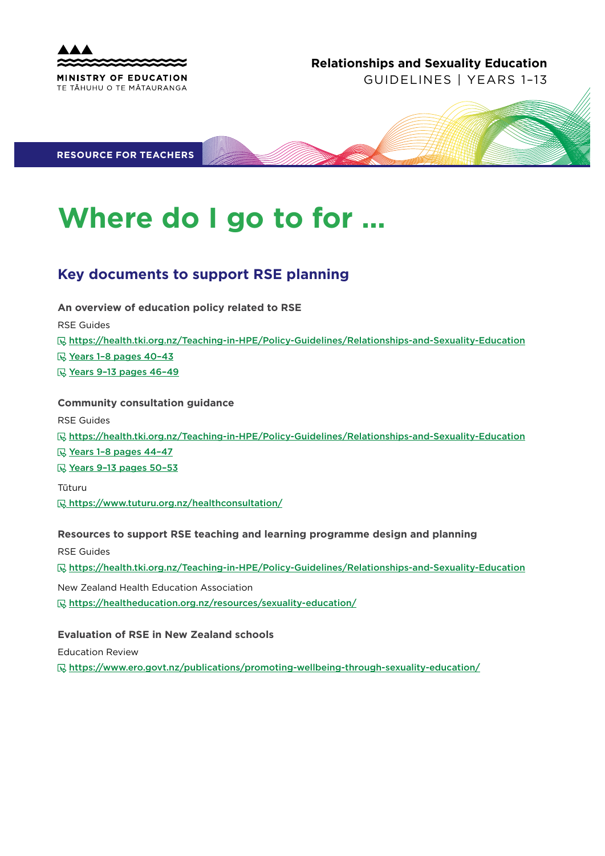

## **Relationships and Sexuality Education**

GUIDELINES | YEARS 1–13

**RESOURCE FOR TEACHERS**

# **Where do I go to for …**

# **Key documents to support RSE planning**

**An overview of education policy related to RSE**

RSE Guides

https://health.tki.org.nz/Teaching-in-HPE/Policy-Guidelines/Relationships-and-Sexuality-Education

**R** Years 1-8 pages 40-43

Vears 9-13 pages 46-49

## **Community consultation guidance**

RSE Guides

https://health.tki.org.nz/Teaching-in-HPE/Policy-Guidelines/Relationships-and-Sexuality-Education

**E** Years 1-8 pages 44-47

Years 9–13 pages 50–53

Tūturu

**Rhttps://www.tuturu.org.nz/healthconsultation/** 

## **Resources to support RSE teaching and learning programme design and planning**

RSE Guides

https://health.tki.org.nz/Teaching-in-HPE/Policy-Guidelines/Relationships-and-Sexuality-Education

New Zealand Health Education Association https://healtheducation.org.nz/resources/sexuality-education/

## **Evaluation of RSE in New Zealand schools**

Education Review

https://www.ero.govt.nz/publications/promoting-wellbeing-through-sexuality-education/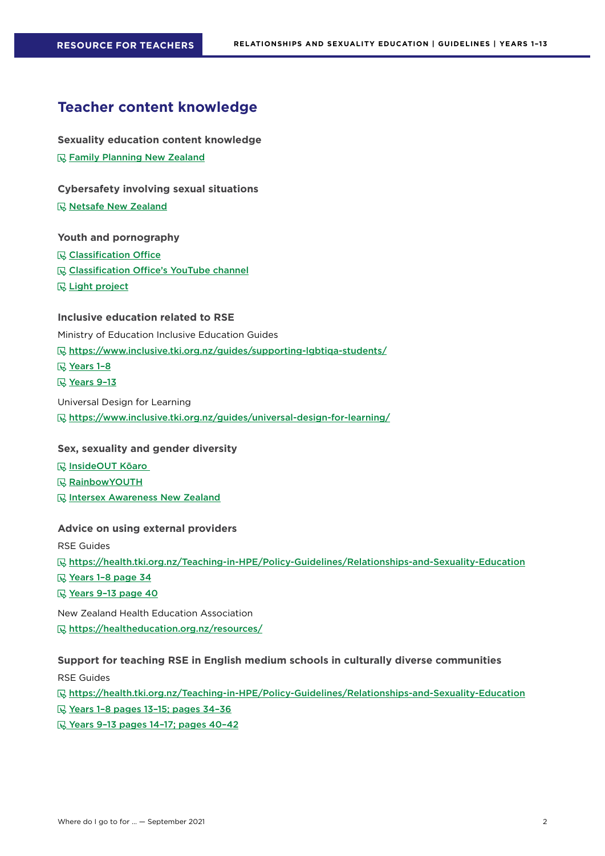## **Teacher content knowledge**

**Sexuality education content knowledge <b>***■* Family Planning New Zealand

**Cybersafety involving sexual situations**

**R** Netsafe New Zealand

### **Youth and pornography**

**Classification Office** 

- **Classification Office's YouTube channel**
- **R** Light project

## **Inclusive education related to RSE**

Ministry of Education Inclusive Education Guides

https://www.inclusive.tki.org.nz/guides/supporting-lgbtiqa-students/

- **<u><b>W** Years 1-8</u>
- **Ⅳ** Years 9-13

Universal Design for Learning

https://www.inclusive.tki.org.nz/guides/universal-design-for-learning/

## **Sex, sexuality and gender diversity**

InsideOUT Kōaro

- **RainbowYOUTH**
- **IN Intersex Awareness New Zealand**

#### **Advice on using external providers**

RSE Guides

https://health.tki.org.nz/Teaching-in-HPE/Policy-Guidelines/Relationships-and-Sexuality-Education

- Years 1-8 page 34
- Years 9-13 page 40

New Zealand Health Education Association

https://healtheducation.org.nz/resources/

#### **Support for teaching RSE in English medium schools in culturally diverse communities**

RSE Guides

https://health.tki.org.nz/Teaching-in-HPE/Policy-Guidelines/Relationships-and-Sexuality-Education

- Years 1–8 pages 13–15; pages 34–36
- **W** Years 9-13 pages 14-17; pages 40-42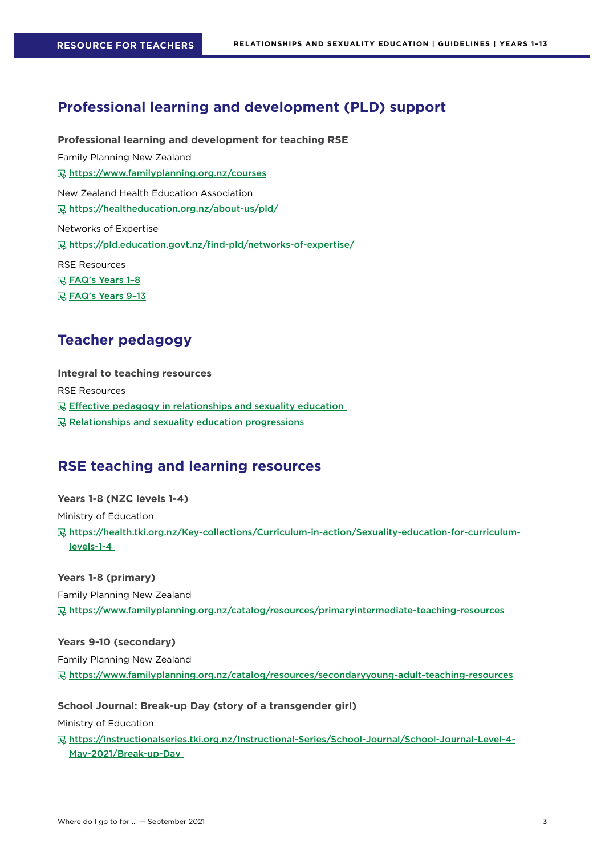## **Professional learning and development (PLD) support**

**Professional learning and development for teaching RSE**  Family Planning New Zealand https://www.familyplanning.org.nz/courses New Zealand Health Education Association https://healtheducation.org.nz/about-us/pld/ Networks of Expertise https://pld.education.govt.nz/find-pld/networks-of-expertise/ RSE Resources FAQ's Years 1–8

**R** FAQ's Years 9-13

## **Teacher pedagogy**

**Integral to teaching resources**  RSE Resources Effective pedagogy in relationships and sexuality education  $R$  Relationships and sexuality education progressions

## **RSE teaching and learning resources**

**Years 1-8 (NZC levels 1-4)** Ministry of Education https://health.tki.org.nz/Key-collections/Curriculum-in-action/Sexuality-education-for-curriculumlevels-1-4

**Years 1-8 (primary)** Family Planning New Zealand https://www.familyplanning.org.nz/catalog/resources/primaryintermediate-teaching-resources

**Years 9-10 (secondary)**  Family Planning New Zealand https://www.familyplanning.org.nz/catalog/resources/secondaryyoung-adult-teaching-resources

**School Journal: Break-up Day (story of a transgender girl)**

Ministry of Education

https://instructionalseries.tki.org.nz/Instructional-Series/School-Journal/School-Journal-Level-4- May-2021/Break-up-Day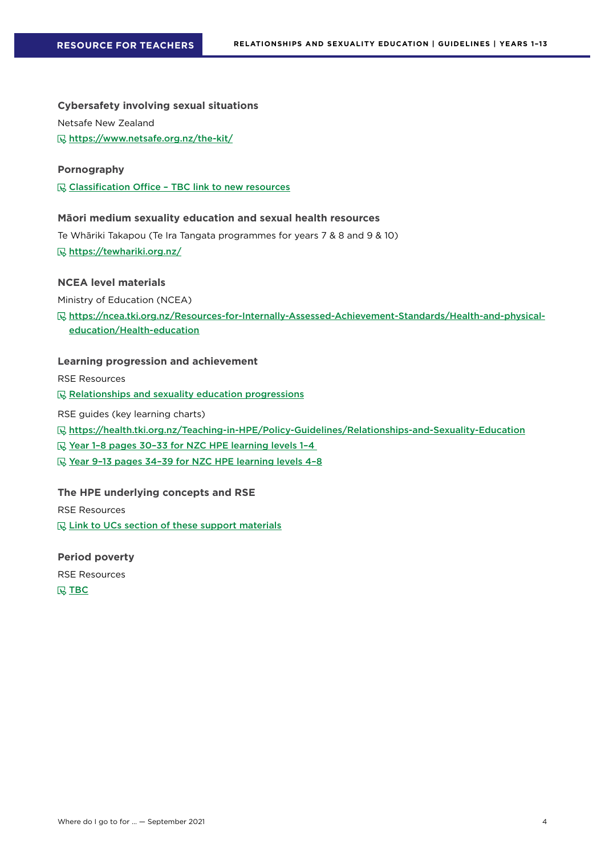**Cybersafety involving sexual situations**

Netsafe New Zealand

**<u><b>***<u></u>* https://www.netsafe.org.nz/the-kit/</u>

### **Pornography**

G Classification Office - TBC link to new resources

## **Māori medium sexuality education and sexual health resources**

Te Whāriki Takapou (Te Ira Tangata programmes for years 7 & 8 and 9 & 10) https://tewhariki.org.nz/

## **NCEA level materials**

Ministry of Education (NCEA)

https://ncea.tki.org.nz/Resources-for-Internally-Assessed-Achievement-Standards/Health-and-physicaleducation/Health-education

## **Learning progression and achievement**

RSE Resources

Relationships and sexuality education progressions

RSE guides (key learning charts)

https://health.tki.org.nz/Teaching-in-HPE/Policy-Guidelines/Relationships-and-Sexuality-Education

Year 1-8 pages 30-33 for NZC HPE learning levels 1-4

Year 9-13 pages 34-39 for NZC HPE learning levels 4-8

#### **The HPE underlying concepts and RSE**

RSE Resources

**Link to UCs section of these support materials** 

## **Period poverty**

RSE Resources **R** TBC